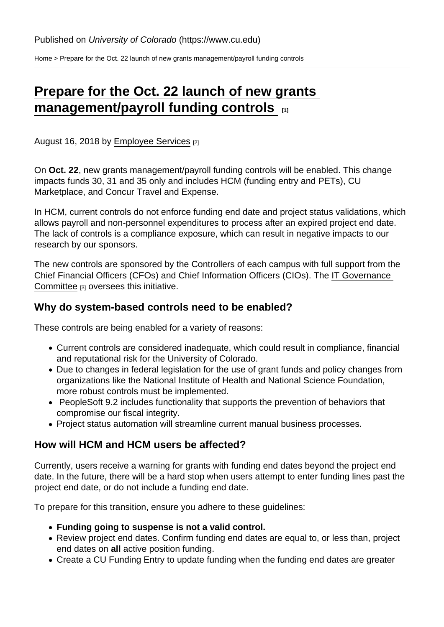[Home](https://www.cu.edu/) > Prepare for the Oct. 22 launch of new grants management/payroll funding controls

## [Prepare for the Oct. 22 launch of new grants](https://www.cu.edu/blog/hcm-community/prepare-oct-22-launch-new-grants-managementpayroll-funding-controls)  [management/payroll funding controls](https://www.cu.edu/blog/hcm-community/prepare-oct-22-launch-new-grants-managementpayroll-funding-controls)  $\frac{1}{1}$

August 16, 2018 by [Employee Services](https://www.cu.edu/blog/hcm-community/author/10695) [2]

On Oct. 22, new grants management/payroll funding controls will be enabled. This change impacts funds 30, 31 and 35 only and includes HCM (funding entry and PETs), CU Marketplace, and Concur Travel and Expense.

In HCM, current controls do not enforce funding end date and project status validations, which allows payroll and non-personnel expenditures to process after an expired project end date. The lack of controls is a compliance exposure, which can result in negative impacts to our research by our sponsors.

The new controls are sponsored by the Controllers of each campus with full support from the Chief Financial Officers (CFOs) and Chief Information Officers (CIOs). The [IT Governance](https://www.cu.edu/it-gov/members)  [Committee](https://www.cu.edu/it-gov/members) [3] oversees this initiative.

## Why do system-based controls need to be enabled?

These controls are being enabled for a variety of reasons:

- Current controls are considered inadequate, which could result in compliance, financial and reputational risk for the University of Colorado.
- Due to changes in federal legislation for the use of grant funds and policy changes from organizations like the National Institute of Health and National Science Foundation, more robust controls must be implemented.
- PeopleSoft 9.2 includes functionality that supports the prevention of behaviors that compromise our fiscal integrity.
- Project status automation will streamline current manual business processes.

## How will HCM and HCM users be affected?

Currently, users receive a warning for grants with funding end dates beyond the project end date. In the future, there will be a hard stop when users attempt to enter funding lines past the project end date, or do not include a funding end date.

To prepare for this transition, ensure you adhere to these guidelines:

- Funding going to suspense is not a valid control.
- Review project end dates. Confirm funding end dates are equal to, or less than, project end dates on all active position funding.
- Create a CU Funding Entry to update funding when the funding end dates are greater